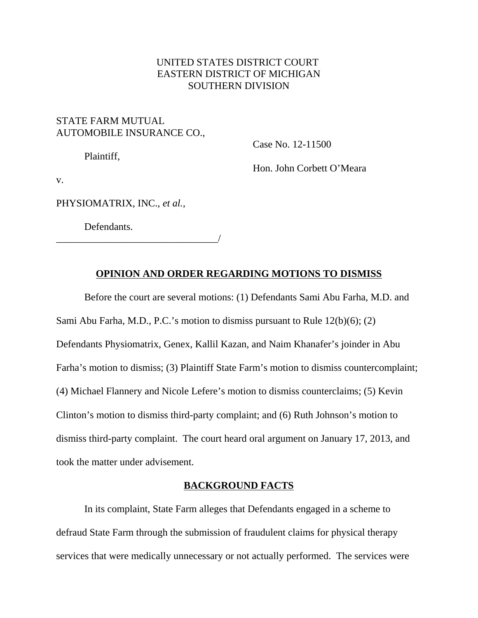## UNITED STATES DISTRICT COURT EASTERN DISTRICT OF MICHIGAN SOUTHERN DIVISION

# STATE FARM MUTUAL AUTOMOBILE INSURANCE CO.,

Case No. 12-11500

Plaintiff,

Hon. John Corbett O'Meara

v.

PHYSIOMATRIX, INC., *et al.,*

\_\_\_\_\_\_\_\_\_\_\_\_\_\_\_\_\_\_\_\_\_\_\_\_\_\_\_\_\_\_\_\_/

Defendants.

# **OPINION AND ORDER REGARDING MOTIONS TO DISMISS**

Before the court are several motions: (1) Defendants Sami Abu Farha, M.D. and Sami Abu Farha, M.D., P.C.'s motion to dismiss pursuant to Rule 12(b)(6); (2) Defendants Physiomatrix, Genex, Kallil Kazan, and Naim Khanafer's joinder in Abu Farha's motion to dismiss; (3) Plaintiff State Farm's motion to dismiss countercomplaint; (4) Michael Flannery and Nicole Lefere's motion to dismiss counterclaims; (5) Kevin Clinton's motion to dismiss third-party complaint; and (6) Ruth Johnson's motion to dismiss third-party complaint. The court heard oral argument on January 17, 2013, and took the matter under advisement.

## **BACKGROUND FACTS**

In its complaint, State Farm alleges that Defendants engaged in a scheme to defraud State Farm through the submission of fraudulent claims for physical therapy services that were medically unnecessary or not actually performed. The services were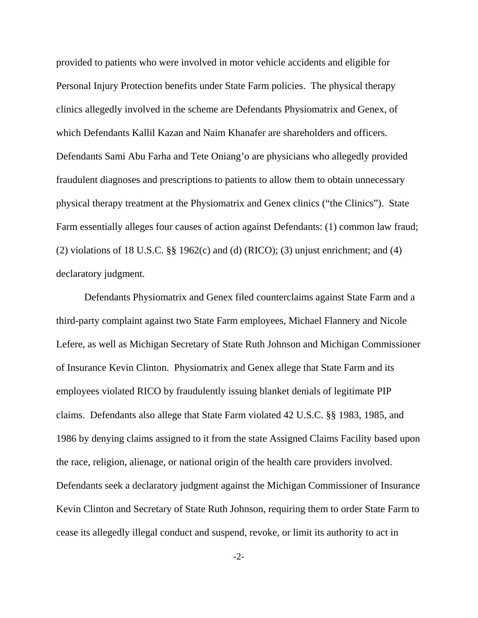provided to patients who were involved in motor vehicle accidents and eligible for Personal Injury Protection benefits under State Farm policies. The physical therapy clinics allegedly involved in the scheme are Defendants Physiomatrix and Genex, of which Defendants Kallil Kazan and Naim Khanafer are shareholders and officers. Defendants Sami Abu Farha and Tete Oniang'o are physicians who allegedly provided fraudulent diagnoses and prescriptions to patients to allow them to obtain unnecessary physical therapy treatment at the Physiomatrix and Genex clinics ("the Clinics"). State Farm essentially alleges four causes of action against Defendants: (1) common law fraud; (2) violations of 18 U.S.C.  $\S$  1962(c) and (d) (RICO); (3) unjust enrichment; and (4) declaratory judgment.

Defendants Physiomatrix and Genex filed counterclaims against State Farm and a third-party complaint against two State Farm employees, Michael Flannery and Nicole Lefere, as well as Michigan Secretary of State Ruth Johnson and Michigan Commissioner of Insurance Kevin Clinton. Physiomatrix and Genex allege that State Farm and its employees violated RICO by fraudulently issuing blanket denials of legitimate PIP claims. Defendants also allege that State Farm violated 42 U.S.C. §§ 1983, 1985, and 1986 by denying claims assigned to it from the state Assigned Claims Facility based upon the race, religion, alienage, or national origin of the health care providers involved. Defendants seek a declaratory judgment against the Michigan Commissioner of Insurance Kevin Clinton and Secretary of State Ruth Johnson, requiring them to order State Farm to cease its allegedly illegal conduct and suspend, revoke, or limit its authority to act in

 $-2$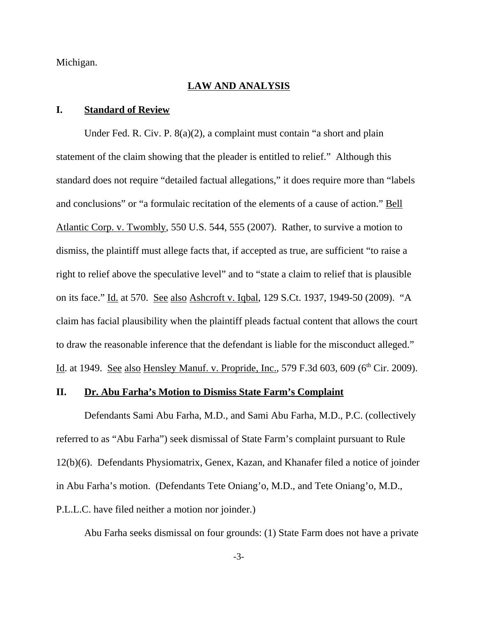Michigan.

#### **LAW AND ANALYSIS**

#### **I. Standard of Review**

Under Fed. R. Civ. P. 8(a)(2), a complaint must contain "a short and plain statement of the claim showing that the pleader is entitled to relief." Although this standard does not require "detailed factual allegations," it does require more than "labels and conclusions" or "a formulaic recitation of the elements of a cause of action." Bell Atlantic Corp. v. Twombly, 550 U.S. 544, 555 (2007). Rather, to survive a motion to dismiss, the plaintiff must allege facts that, if accepted as true, are sufficient "to raise a right to relief above the speculative level" and to "state a claim to relief that is plausible on its face." Id. at 570. See also Ashcroft v. Iqbal, 129 S.Ct. 1937, 1949-50 (2009). "A claim has facial plausibility when the plaintiff pleads factual content that allows the court to draw the reasonable inference that the defendant is liable for the misconduct alleged." Id. at 1949. See also Hensley Manuf. v. Propride, Inc., 579 F.3d 603, 609 (6<sup>th</sup> Cir. 2009).

## **II. Dr. Abu Farha's Motion to Dismiss State Farm's Complaint**

Defendants Sami Abu Farha, M.D., and Sami Abu Farha, M.D., P.C. (collectively referred to as "Abu Farha") seek dismissal of State Farm's complaint pursuant to Rule 12(b)(6). Defendants Physiomatrix, Genex, Kazan, and Khanafer filed a notice of joinder in Abu Farha's motion. (Defendants Tete Oniang'o, M.D., and Tete Oniang'o, M.D., P.L.L.C. have filed neither a motion nor joinder.)

Abu Farha seeks dismissal on four grounds: (1) State Farm does not have a private

-3-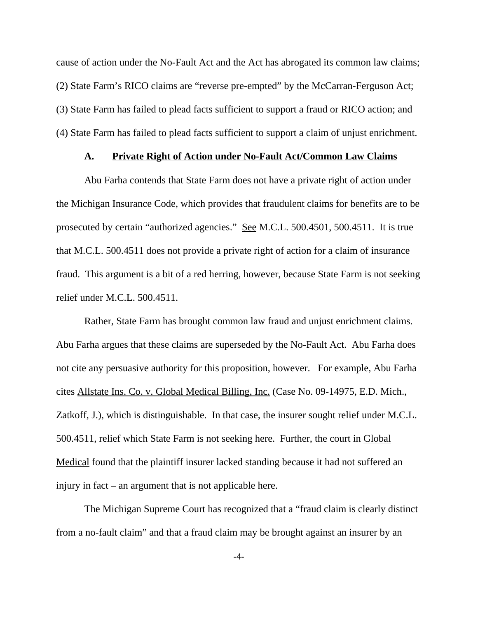cause of action under the No-Fault Act and the Act has abrogated its common law claims; (2) State Farm's RICO claims are "reverse pre-empted" by the McCarran-Ferguson Act; (3) State Farm has failed to plead facts sufficient to support a fraud or RICO action; and (4) State Farm has failed to plead facts sufficient to support a claim of unjust enrichment.

## **A. Private Right of Action under No-Fault Act/Common Law Claims**

Abu Farha contends that State Farm does not have a private right of action under the Michigan Insurance Code, which provides that fraudulent claims for benefits are to be prosecuted by certain "authorized agencies." See M.C.L. 500.4501, 500.4511. It is true that M.C.L. 500.4511 does not provide a private right of action for a claim of insurance fraud. This argument is a bit of a red herring, however, because State Farm is not seeking relief under M.C.L. 500.4511.

Rather, State Farm has brought common law fraud and unjust enrichment claims. Abu Farha argues that these claims are superseded by the No-Fault Act. Abu Farha does not cite any persuasive authority for this proposition, however. For example, Abu Farha cites Allstate Ins. Co. v. Global Medical Billing, Inc. (Case No. 09-14975, E.D. Mich., Zatkoff, J.), which is distinguishable. In that case, the insurer sought relief under M.C.L. 500.4511, relief which State Farm is not seeking here. Further, the court in Global Medical found that the plaintiff insurer lacked standing because it had not suffered an injury in fact – an argument that is not applicable here.

The Michigan Supreme Court has recognized that a "fraud claim is clearly distinct from a no-fault claim" and that a fraud claim may be brought against an insurer by an

-4-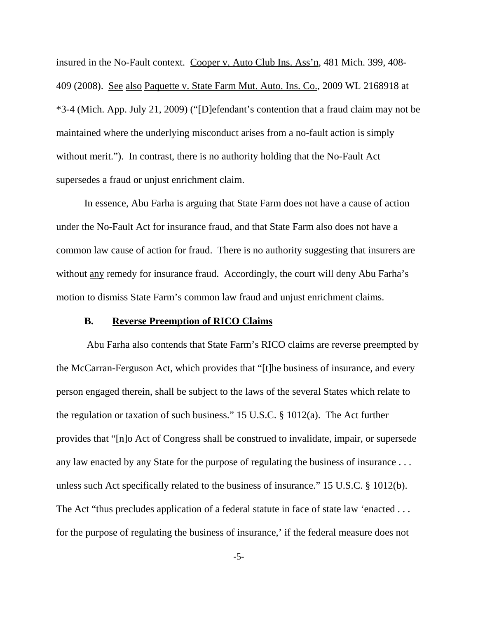insured in the No-Fault context. Cooper v. Auto Club Ins. Ass'n, 481 Mich. 399, 408-409 (2008). See also Paquette v. State Farm Mut. Auto. Ins. Co., 2009 WL 2168918 at \*3-4 (Mich. App. July 21, 2009) ("[D]efendant's contention that a fraud claim may not be maintained where the underlying misconduct arises from a no-fault action is simply without merit."). In contrast, there is no authority holding that the No-Fault Act supersedes a fraud or unjust enrichment claim.

In essence, Abu Farha is arguing that State Farm does not have a cause of action under the No-Fault Act for insurance fraud, and that State Farm also does not have a common law cause of action for fraud. There is no authority suggesting that insurers are without <u>any</u> remedy for insurance fraud. Accordingly, the court will deny Abu Farha's motion to dismiss State Farm's common law fraud and unjust enrichment claims.

#### **B. Reverse Preemption of RICO Claims**

 Abu Farha also contends that State Farm's RICO claims are reverse preempted by the McCarran-Ferguson Act, which provides that "[t]he business of insurance, and every person engaged therein, shall be subject to the laws of the several States which relate to the regulation or taxation of such business." 15 U.S.C. § 1012(a). The Act further provides that "[n]o Act of Congress shall be construed to invalidate, impair, or supersede any law enacted by any State for the purpose of regulating the business of insurance . . . unless such Act specifically related to the business of insurance." 15 U.S.C. § 1012(b). The Act "thus precludes application of a federal statute in face of state law 'enacted ... for the purpose of regulating the business of insurance,' if the federal measure does not

-5-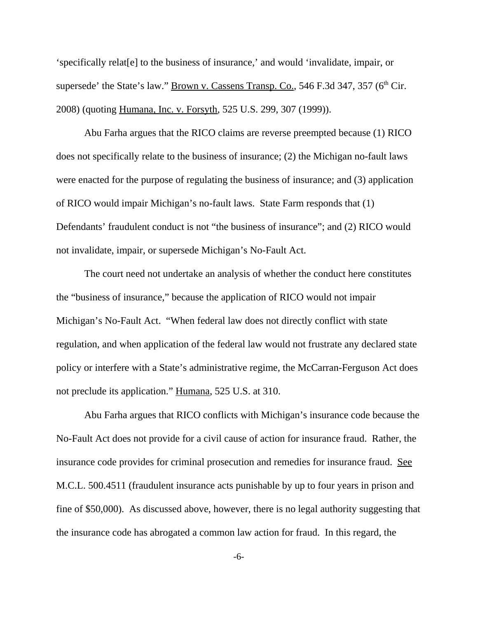'specifically relat[e] to the business of insurance,' and would 'invalidate, impair, or supersede' the State's law." Brown v. Cassens Transp. Co.,  $546$  F.3d 347,  $357$  ( $6<sup>th</sup>$ Cir.) 2008) (quoting Humana, Inc. v. Forsyth, 525 U.S. 299, 307 (1999)).

Abu Farha argues that the RICO claims are reverse preempted because (1) RICO does not specifically relate to the business of insurance; (2) the Michigan no-fault laws were enacted for the purpose of regulating the business of insurance; and (3) application of RICO would impair Michigan's no-fault laws. State Farm responds that (1) Defendants' fraudulent conduct is not "the business of insurance"; and (2) RICO would not invalidate, impair, or supersede Michigan's No-Fault Act.

The court need not undertake an analysis of whether the conduct here constitutes the "business of insurance," because the application of RICO would not impair Michigan's No-Fault Act. "When federal law does not directly conflict with state regulation, and when application of the federal law would not frustrate any declared state policy or interfere with a State's administrative regime, the McCarran-Ferguson Act does not preclude its application." Humana, 525 U.S. at 310.

Abu Farha argues that RICO conflicts with Michigan's insurance code because the No-Fault Act does not provide for a civil cause of action for insurance fraud. Rather, the insurance code provides for criminal prosecution and remedies for insurance fraud. See M.C.L. 500.4511 (fraudulent insurance acts punishable by up to four years in prison and fine of \$50,000). As discussed above, however, there is no legal authority suggesting that the insurance code has abrogated a common law action for fraud. In this regard, the

-6-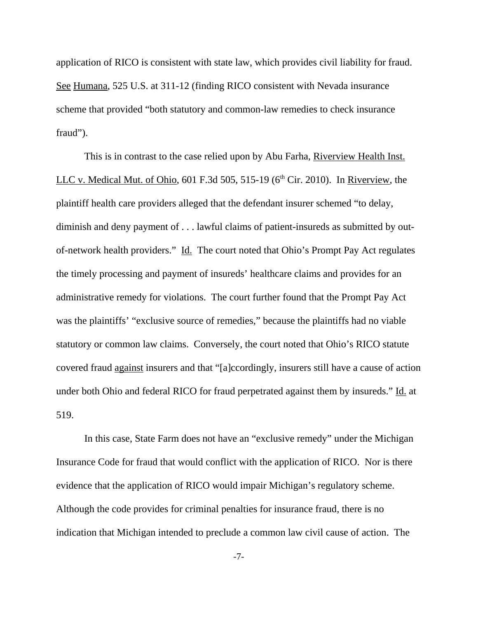application of RICO is consistent with state law, which provides civil liability for fraud. See Humana, 525 U.S. at 311-12 (finding RICO consistent with Nevada insurance scheme that provided "both statutory and common-law remedies to check insurance fraud").

This is in contrast to the case relied upon by Abu Farha, Riverview Health Inst. LLC v. Medical Mut. of Ohio, 601 F.3d 505, 515-19 ( $6<sup>th</sup>$  Cir. 2010). In Riverview, the plaintiff health care providers alleged that the defendant insurer schemed "to delay, diminish and deny payment of . . . lawful claims of patient-insureds as submitted by outof-network health providers." Id. The court noted that Ohio's Prompt Pay Act regulates the timely processing and payment of insureds' healthcare claims and provides for an administrative remedy for violations. The court further found that the Prompt Pay Act was the plaintiffs' "exclusive source of remedies," because the plaintiffs had no viable statutory or common law claims. Conversely, the court noted that Ohio's RICO statute covered fraud against insurers and that "[a]ccordingly, insurers still have a cause of action under both Ohio and federal RICO for fraud perpetrated against them by insureds." Id. at 519.

In this case, State Farm does not have an "exclusive remedy" under the Michigan Insurance Code for fraud that would conflict with the application of RICO. Nor is there evidence that the application of RICO would impair Michigan's regulatory scheme. Although the code provides for criminal penalties for insurance fraud, there is no indication that Michigan intended to preclude a common law civil cause of action. The

-7-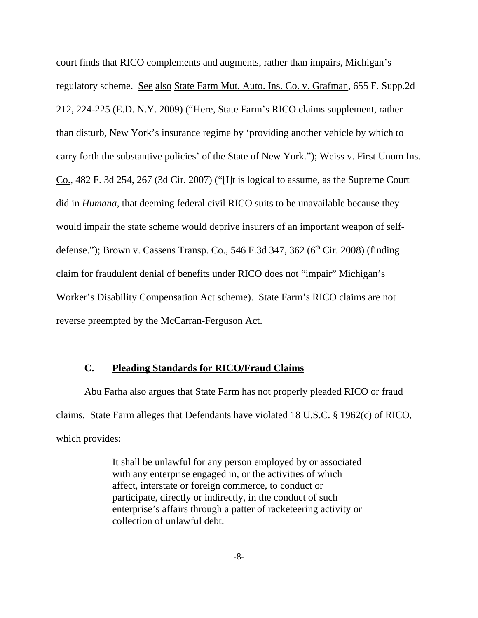court finds that RICO complements and augments, rather than impairs, Michigan's regulatory scheme. See also State Farm Mut. Auto. Ins. Co. v. Grafman, 655 F. Supp.2d 212, 224-225 (E.D. N.Y. 2009) ("Here, State Farm's RICO claims supplement, rather than disturb, New York's insurance regime by 'providing another vehicle by which to carry forth the substantive policies' of the State of New York."); Weiss v. First Unum Ins. Co., 482 F. 3d 254, 267 (3d Cir. 2007) ("[I]t is logical to assume, as the Supreme Court did in *Humana*, that deeming federal civil RICO suits to be unavailable because they would impair the state scheme would deprive insurers of an important weapon of selfdefense."); Brown v. Cassens Transp. Co., 546 F.3d 347, 362 (6<sup>th</sup> Cir. 2008) (finding claim for fraudulent denial of benefits under RICO does not "impair" Michigan's Worker's Disability Compensation Act scheme). State Farm's RICO claims are not reverse preempted by the McCarran-Ferguson Act.

## **C. Pleading Standards for RICO/Fraud Claims**

Abu Farha also argues that State Farm has not properly pleaded RICO or fraud claims. State Farm alleges that Defendants have violated 18 U.S.C. § 1962(c) of RICO, which provides:

> It shall be unlawful for any person employed by or associated with any enterprise engaged in, or the activities of which affect, interstate or foreign commerce, to conduct or participate, directly or indirectly, in the conduct of such enterprise's affairs through a patter of racketeering activity or collection of unlawful debt.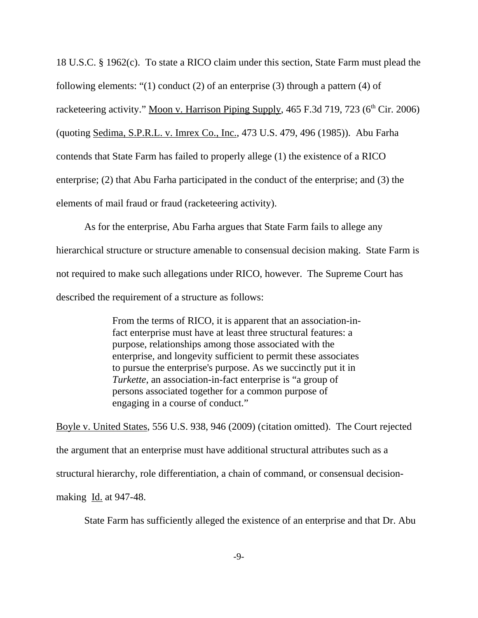18 U.S.C. § 1962(c). To state a RICO claim under this section, State Farm must plead the following elements: "(1) conduct (2) of an enterprise (3) through a pattern (4) of racketeering activity." Moon v. Harrison Piping Supply, 465 F.3d 719, 723 ( $6<sup>th</sup> Cir. 2006$ ) (quoting Sedima, S.P.R.L. v. Imrex Co., Inc., 473 U.S. 479, 496 (1985)). Abu Farha contends that State Farm has failed to properly allege (1) the existence of a RICO enterprise; (2) that Abu Farha participated in the conduct of the enterprise; and (3) the elements of mail fraud or fraud (racketeering activity).

As for the enterprise, Abu Farha argues that State Farm fails to allege any hierarchical structure or structure amenable to consensual decision making. State Farm is not required to make such allegations under RICO, however. The Supreme Court has described the requirement of a structure as follows:

> From the terms of RICO, it is apparent that an association-infact enterprise must have at least three structural features: a purpose, relationships among those associated with the enterprise, and longevity sufficient to permit these associates to pursue the enterprise's purpose. As we succinctly put it in *Turkette*, an association-in-fact enterprise is "a group of persons associated together for a common purpose of engaging in a course of conduct."

Boyle v. United States, 556 U.S. 938, 946 (2009) (citation omitted). The Court rejected the argument that an enterprise must have additional structural attributes such as a structural hierarchy, role differentiation, a chain of command, or consensual decisionmaking <u>Id.</u> at 947-48.

State Farm has sufficiently alleged the existence of an enterprise and that Dr. Abu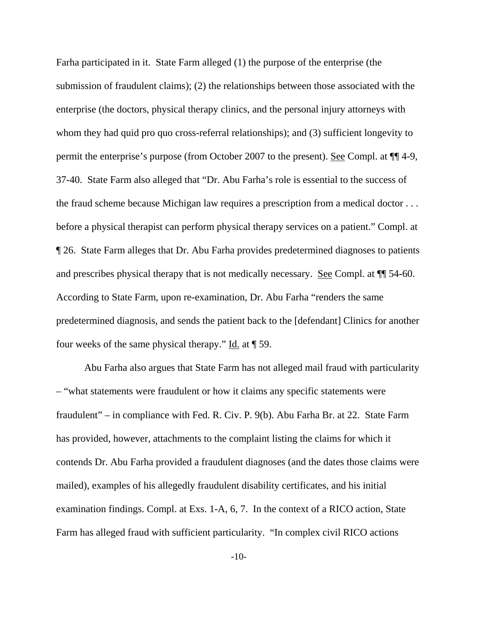Farha participated in it. State Farm alleged (1) the purpose of the enterprise (the submission of fraudulent claims); (2) the relationships between those associated with the enterprise (the doctors, physical therapy clinics, and the personal injury attorneys with whom they had quid pro quo cross-referral relationships); and (3) sufficient longevity to permit the enterprise's purpose (from October 2007 to the present). See Compl. at ¶¶ 4-9, 37-40. State Farm also alleged that "Dr. Abu Farha's role is essential to the success of the fraud scheme because Michigan law requires a prescription from a medical doctor . . . before a physical therapist can perform physical therapy services on a patient." Compl. at ¶ 26. State Farm alleges that Dr. Abu Farha provides predetermined diagnoses to patients and prescribes physical therapy that is not medically necessary. <u>See</u> Compl. at  $\P$  54-60. According to State Farm, upon re-examination, Dr. Abu Farha "renders the same predetermined diagnosis, and sends the patient back to the [defendant] Clinics for another four weeks of the same physical therapy."  $\underline{Id}$  at  $\P$  59.

Abu Farha also argues that State Farm has not alleged mail fraud with particularity – "what statements were fraudulent or how it claims any specific statements were fraudulent" – in compliance with Fed. R. Civ. P. 9(b). Abu Farha Br. at 22. State Farm has provided, however, attachments to the complaint listing the claims for which it contends Dr. Abu Farha provided a fraudulent diagnoses (and the dates those claims were mailed), examples of his allegedly fraudulent disability certificates, and his initial examination findings. Compl. at Exs. 1-A, 6, 7. In the context of a RICO action, State Farm has alleged fraud with sufficient particularity. "In complex civil RICO actions

-10-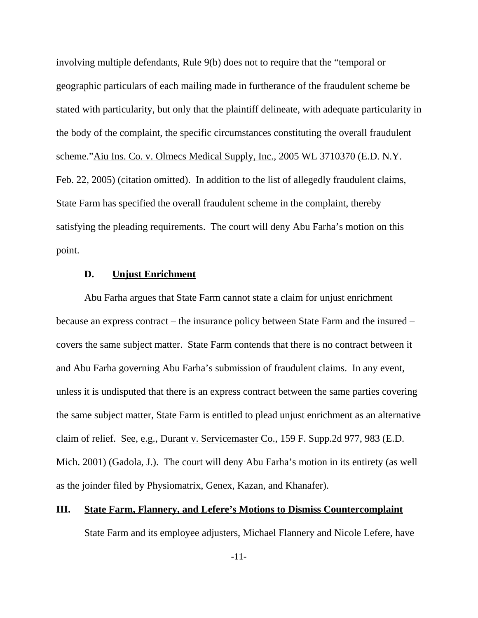involving multiple defendants, Rule 9(b) does not to require that the "temporal or geographic particulars of each mailing made in furtherance of the fraudulent scheme be stated with particularity, but only that the plaintiff delineate, with adequate particularity in the body of the complaint, the specific circumstances constituting the overall fraudulent scheme."Aiu Ins. Co. v. Olmecs Medical Supply, Inc., 2005 WL 3710370 (E.D. N.Y. Feb. 22, 2005) (citation omitted). In addition to the list of allegedly fraudulent claims, State Farm has specified the overall fraudulent scheme in the complaint, thereby satisfying the pleading requirements. The court will deny Abu Farha's motion on this point.

#### **D. Unjust Enrichment**

Abu Farha argues that State Farm cannot state a claim for unjust enrichment because an express contract – the insurance policy between State Farm and the insured – covers the same subject matter. State Farm contends that there is no contract between it and Abu Farha governing Abu Farha's submission of fraudulent claims. In any event, unless it is undisputed that there is an express contract between the same parties covering the same subject matter, State Farm is entitled to plead unjust enrichment as an alternative claim of relief. See, e.g., Durant v. Servicemaster Co., 159 F. Supp.2d 977, 983 (E.D. Mich. 2001) (Gadola, J.). The court will deny Abu Farha's motion in its entirety (as well as the joinder filed by Physiomatrix, Genex, Kazan, and Khanafer).

## **III. State Farm, Flannery, and Lefere's Motions to Dismiss Countercomplaint**

State Farm and its employee adjusters, Michael Flannery and Nicole Lefere, have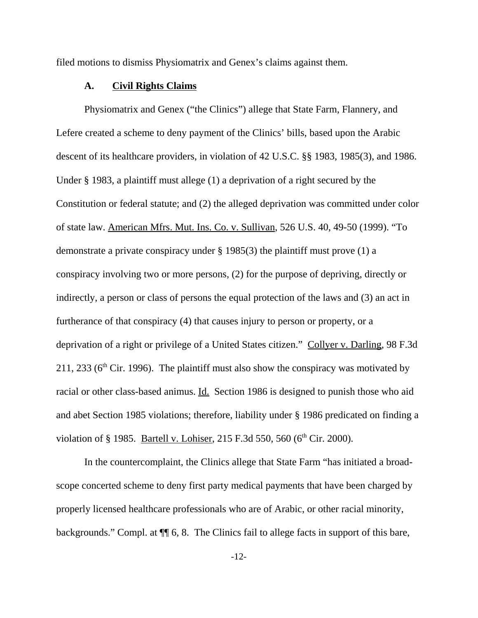filed motions to dismiss Physiomatrix and Genex's claims against them.

#### **A. Civil Rights Claims**

Physiomatrix and Genex ("the Clinics") allege that State Farm, Flannery, and Lefere created a scheme to deny payment of the Clinics' bills, based upon the Arabic descent of its healthcare providers, in violation of 42 U.S.C. §§ 1983, 1985(3), and 1986. Under § 1983, a plaintiff must allege (1) a deprivation of a right secured by the Constitution or federal statute; and (2) the alleged deprivation was committed under color of state law. American Mfrs. Mut. Ins. Co. v. Sullivan, 526 U.S. 40, 49-50 (1999). "To demonstrate a private conspiracy under § 1985(3) the plaintiff must prove (1) a conspiracy involving two or more persons, (2) for the purpose of depriving, directly or indirectly, a person or class of persons the equal protection of the laws and (3) an act in furtherance of that conspiracy (4) that causes injury to person or property, or a deprivation of a right or privilege of a United States citizen." Collyer v. Darling, 98 F.3d 211, 233 ( $6<sup>th</sup>$  Cir. 1996). The plaintiff must also show the conspiracy was motivated by racial or other class-based animus. Id. Section 1986 is designed to punish those who aid and abet Section 1985 violations; therefore, liability under § 1986 predicated on finding a violation of § 1985. Bartell v. Lohiser, 215 F.3d 550, 560 ( $6<sup>th</sup>$  Cir. 2000).

In the countercomplaint, the Clinics allege that State Farm "has initiated a broadscope concerted scheme to deny first party medical payments that have been charged by properly licensed healthcare professionals who are of Arabic, or other racial minority, backgrounds." Compl. at ¶¶ 6, 8. The Clinics fail to allege facts in support of this bare,

-12-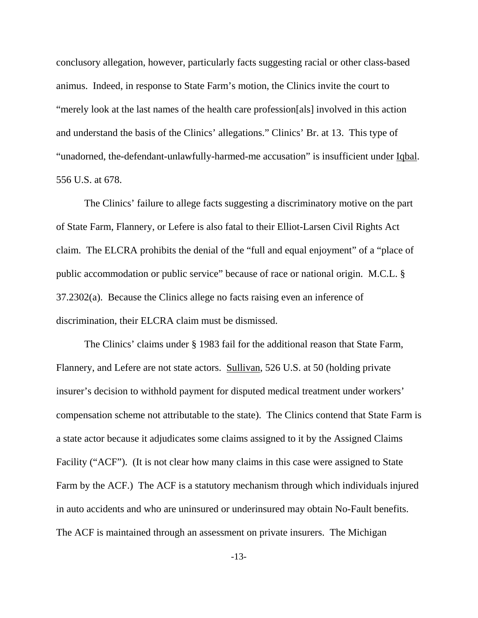conclusory allegation, however, particularly facts suggesting racial or other class-based animus. Indeed, in response to State Farm's motion, the Clinics invite the court to "merely look at the last names of the health care profession[als] involved in this action and understand the basis of the Clinics' allegations." Clinics' Br. at 13. This type of "unadorned, the-defendant-unlawfully-harmed-me accusation" is insufficient under Iqbal. 556 U.S. at 678.

The Clinics' failure to allege facts suggesting a discriminatory motive on the part of State Farm, Flannery, or Lefere is also fatal to their Elliot-Larsen Civil Rights Act claim. The ELCRA prohibits the denial of the "full and equal enjoyment" of a "place of public accommodation or public service" because of race or national origin. M.C.L. § 37.2302(a). Because the Clinics allege no facts raising even an inference of discrimination, their ELCRA claim must be dismissed.

The Clinics' claims under § 1983 fail for the additional reason that State Farm, Flannery, and Lefere are not state actors. Sullivan, 526 U.S. at 50 (holding private insurer's decision to withhold payment for disputed medical treatment under workers' compensation scheme not attributable to the state). The Clinics contend that State Farm is a state actor because it adjudicates some claims assigned to it by the Assigned Claims Facility ("ACF"). (It is not clear how many claims in this case were assigned to State Farm by the ACF.) The ACF is a statutory mechanism through which individuals injured in auto accidents and who are uninsured or underinsured may obtain No-Fault benefits. The ACF is maintained through an assessment on private insurers. The Michigan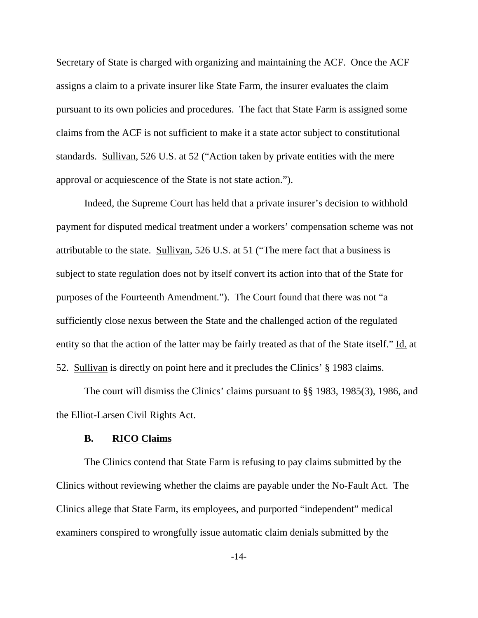Secretary of State is charged with organizing and maintaining the ACF. Once the ACF assigns a claim to a private insurer like State Farm, the insurer evaluates the claim pursuant to its own policies and procedures. The fact that State Farm is assigned some claims from the ACF is not sufficient to make it a state actor subject to constitutional standards. Sullivan, 526 U.S. at 52 ("Action taken by private entities with the mere approval or acquiescence of the State is not state action.").

Indeed, the Supreme Court has held that a private insurer's decision to withhold payment for disputed medical treatment under a workers' compensation scheme was not attributable to the state. Sullivan, 526 U.S. at 51 ("The mere fact that a business is subject to state regulation does not by itself convert its action into that of the State for purposes of the Fourteenth Amendment."). The Court found that there was not "a sufficiently close nexus between the State and the challenged action of the regulated entity so that the action of the latter may be fairly treated as that of the State itself." Id. at 52. Sullivan is directly on point here and it precludes the Clinics' § 1983 claims.

The court will dismiss the Clinics' claims pursuant to §§ 1983, 1985(3), 1986, and the Elliot-Larsen Civil Rights Act.

#### **B. RICO Claims**

The Clinics contend that State Farm is refusing to pay claims submitted by the Clinics without reviewing whether the claims are payable under the No-Fault Act. The Clinics allege that State Farm, its employees, and purported "independent" medical examiners conspired to wrongfully issue automatic claim denials submitted by the

-14-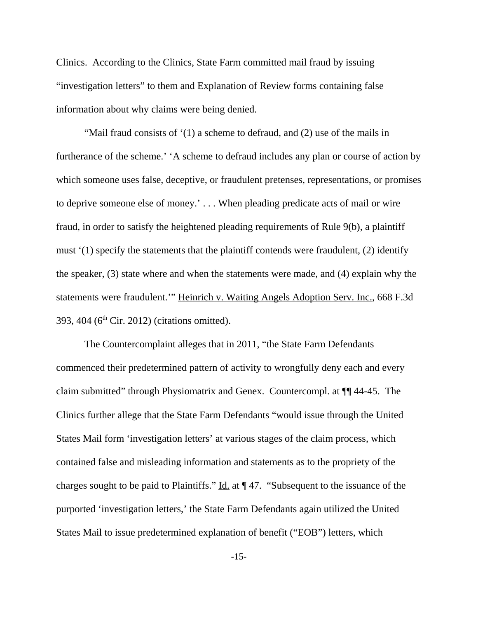Clinics. According to the Clinics, State Farm committed mail fraud by issuing "investigation letters" to them and Explanation of Review forms containing false information about why claims were being denied.

"Mail fraud consists of '(1) a scheme to defraud, and (2) use of the mails in furtherance of the scheme.' 'A scheme to defraud includes any plan or course of action by which someone uses false, deceptive, or fraudulent pretenses, representations, or promises to deprive someone else of money.' . . . When pleading predicate acts of mail or wire fraud, in order to satisfy the heightened pleading requirements of Rule 9(b), a plaintiff must '(1) specify the statements that the plaintiff contends were fraudulent, (2) identify the speaker, (3) state where and when the statements were made, and (4) explain why the statements were fraudulent.'" Heinrich v. Waiting Angels Adoption Serv. Inc., 668 F.3d 393, 404 ( $6<sup>th</sup>$  Cir. 2012) (citations omitted).

The Countercomplaint alleges that in 2011, "the State Farm Defendants commenced their predetermined pattern of activity to wrongfully deny each and every claim submitted" through Physiomatrix and Genex. Countercompl. at ¶¶ 44-45. The Clinics further allege that the State Farm Defendants "would issue through the United States Mail form 'investigation letters' at various stages of the claim process, which contained false and misleading information and statements as to the propriety of the charges sought to be paid to Plaintiffs." Id. at  $\P$  47. "Subsequent to the issuance of the purported 'investigation letters,' the State Farm Defendants again utilized the United States Mail to issue predetermined explanation of benefit ("EOB") letters, which

-15-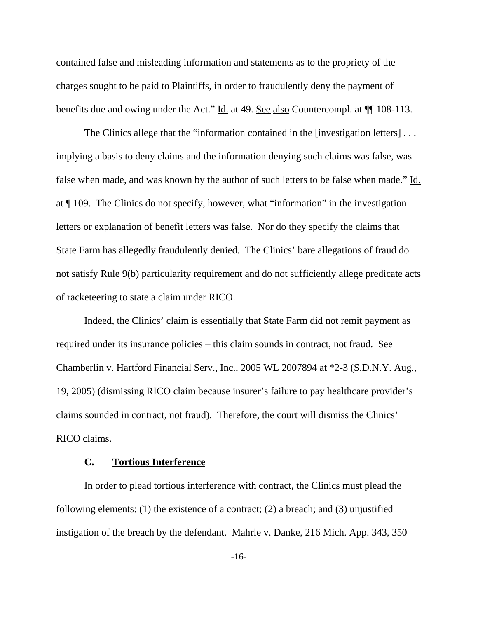contained false and misleading information and statements as to the propriety of the charges sought to be paid to Plaintiffs, in order to fraudulently deny the payment of benefits due and owing under the Act." Id. at 49. See also Countercompl. at ¶¶ 108-113.

The Clinics allege that the "information contained in the [investigation letters] . . . implying a basis to deny claims and the information denying such claims was false, was false when made, and was known by the author of such letters to be false when made." Id. at ¶ 109. The Clinics do not specify, however, what "information" in the investigation letters or explanation of benefit letters was false. Nor do they specify the claims that State Farm has allegedly fraudulently denied. The Clinics' bare allegations of fraud do not satisfy Rule 9(b) particularity requirement and do not sufficiently allege predicate acts of racketeering to state a claim under RICO.

Indeed, the Clinics' claim is essentially that State Farm did not remit payment as required under its insurance policies – this claim sounds in contract, not fraud. See Chamberlin v. Hartford Financial Serv., Inc., 2005 WL 2007894 at \*2-3 (S.D.N.Y. Aug., 19, 2005) (dismissing RICO claim because insurer's failure to pay healthcare provider's claims sounded in contract, not fraud). Therefore, the court will dismiss the Clinics' RICO claims.

## **C. Tortious Interference**

In order to plead tortious interference with contract, the Clinics must plead the following elements: (1) the existence of a contract; (2) a breach; and (3) unjustified instigation of the breach by the defendant. Mahrle v. Danke, 216 Mich. App. 343, 350

-16-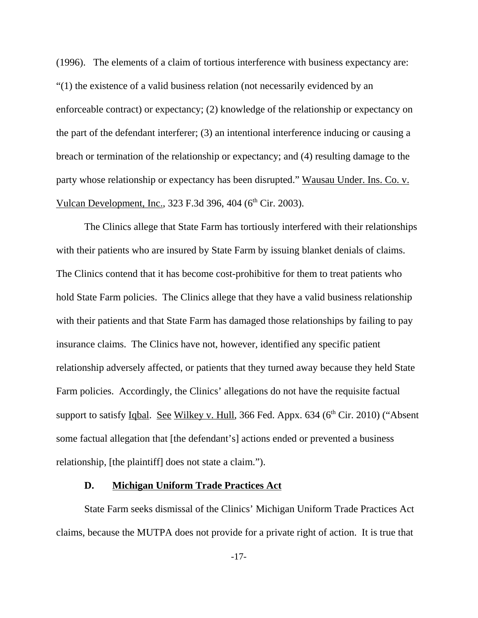(1996). The elements of a claim of tortious interference with business expectancy are: "(1) the existence of a valid business relation (not necessarily evidenced by an enforceable contract) or expectancy; (2) knowledge of the relationship or expectancy on the part of the defendant interferer; (3) an intentional interference inducing or causing a breach or termination of the relationship or expectancy; and (4) resulting damage to the party whose relationship or expectancy has been disrupted." Wausau Under. Ins. Co. v. Vulcan Development, Inc., 323 F.3d 396, 404 (6<sup>th</sup> Cir. 2003).

The Clinics allege that State Farm has tortiously interfered with their relationships with their patients who are insured by State Farm by issuing blanket denials of claims. The Clinics contend that it has become cost-prohibitive for them to treat patients who hold State Farm policies. The Clinics allege that they have a valid business relationship with their patients and that State Farm has damaged those relationships by failing to pay insurance claims. The Clinics have not, however, identified any specific patient relationship adversely affected, or patients that they turned away because they held State Farm policies. Accordingly, the Clinics' allegations do not have the requisite factual support to satisfy Iqbal. See Wilkey v. Hull, 366 Fed. Appx.  $634$  ( $6<sup>th</sup>$  Cir. 2010) ("Absent some factual allegation that [the defendant's] actions ended or prevented a business relationship, [the plaintiff] does not state a claim.").

## **D. Michigan Uniform Trade Practices Act**

State Farm seeks dismissal of the Clinics' Michigan Uniform Trade Practices Act claims, because the MUTPA does not provide for a private right of action. It is true that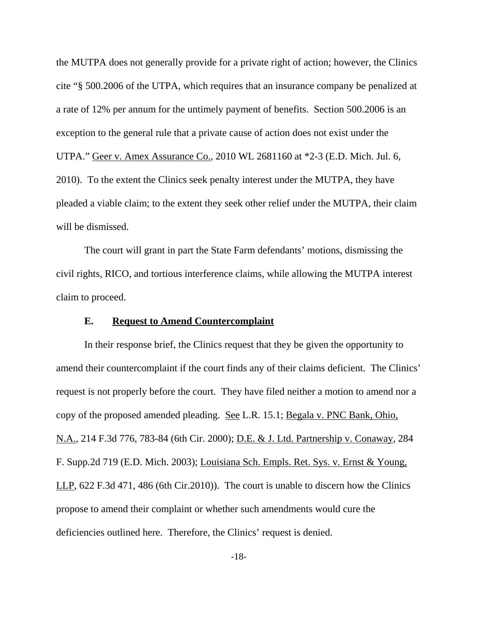the MUTPA does not generally provide for a private right of action; however, the Clinics cite "§ 500.2006 of the UTPA, which requires that an insurance company be penalized at a rate of 12% per annum for the untimely payment of benefits. Section 500.2006 is an exception to the general rule that a private cause of action does not exist under the UTPA." Geer v. Amex Assurance Co., 2010 WL 2681160 at \*2-3 (E.D. Mich. Jul. 6, 2010). To the extent the Clinics seek penalty interest under the MUTPA, they have pleaded a viable claim; to the extent they seek other relief under the MUTPA, their claim will be dismissed.

The court will grant in part the State Farm defendants' motions, dismissing the civil rights, RICO, and tortious interference claims, while allowing the MUTPA interest claim to proceed.

## **E. Request to Amend Countercomplaint**

In their response brief, the Clinics request that they be given the opportunity to amend their countercomplaint if the court finds any of their claims deficient. The Clinics' request is not properly before the court. They have filed neither a motion to amend nor a copy of the proposed amended pleading. See L.R. 15.1; Begala v. PNC Bank, Ohio, N.A., 214 F.3d 776, 783-84 (6th Cir. 2000); D.E. & J. Ltd. Partnership v. Conaway, 284 F. Supp.2d 719 (E.D. Mich. 2003); Louisiana Sch. Empls. Ret. Sys. v. Ernst & Young, LLP, 622 F.3d 471, 486 (6th Cir.2010)). The court is unable to discern how the Clinics propose to amend their complaint or whether such amendments would cure the deficiencies outlined here. Therefore, the Clinics' request is denied.

-18-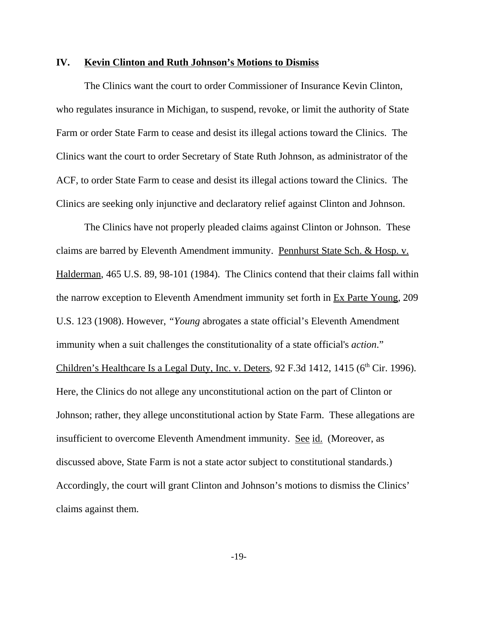### **IV. Kevin Clinton and Ruth Johnson's Motions to Dismiss**

The Clinics want the court to order Commissioner of Insurance Kevin Clinton, who regulates insurance in Michigan, to suspend, revoke, or limit the authority of State Farm or order State Farm to cease and desist its illegal actions toward the Clinics. The Clinics want the court to order Secretary of State Ruth Johnson, as administrator of the ACF, to order State Farm to cease and desist its illegal actions toward the Clinics. The Clinics are seeking only injunctive and declaratory relief against Clinton and Johnson.

The Clinics have not properly pleaded claims against Clinton or Johnson. These claims are barred by Eleventh Amendment immunity. Pennhurst State Sch. & Hosp. v. Halderman, 465 U.S. 89, 98-101 (1984). The Clinics contend that their claims fall within the narrow exception to Eleventh Amendment immunity set forth in Ex Parte Young, 209 U.S. 123 (1908). However, *"Young* abrogates a state official's Eleventh Amendment immunity when a suit challenges the constitutionality of a state official's *action*." Children's Healthcare Is a Legal Duty, Inc. v. Deters,  $92$  F.3d 1412, 1415 ( $6<sup>th</sup>$  Cir. 1996). Here, the Clinics do not allege any unconstitutional action on the part of Clinton or Johnson; rather, they allege unconstitutional action by State Farm. These allegations are insufficient to overcome Eleventh Amendment immunity. See id. (Moreover, as discussed above, State Farm is not a state actor subject to constitutional standards.) Accordingly, the court will grant Clinton and Johnson's motions to dismiss the Clinics' claims against them.